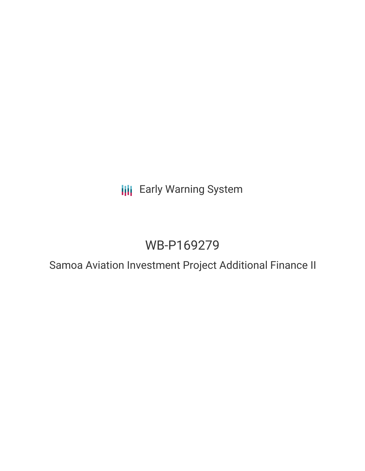**III** Early Warning System

# WB-P169279

Samoa Aviation Investment Project Additional Finance II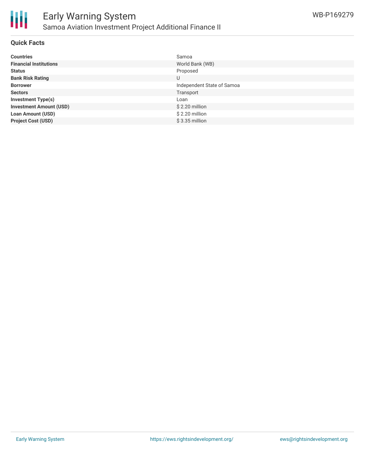

#### **Quick Facts**

| <b>Countries</b>               | Samoa                      |
|--------------------------------|----------------------------|
| <b>Financial Institutions</b>  | World Bank (WB)            |
| <b>Status</b>                  | Proposed                   |
| <b>Bank Risk Rating</b>        | U                          |
| <b>Borrower</b>                | Independent State of Samoa |
| <b>Sectors</b>                 | Transport                  |
| <b>Investment Type(s)</b>      | Loan                       |
| <b>Investment Amount (USD)</b> | $$2.20$ million            |
| <b>Loan Amount (USD)</b>       | \$2.20 million             |
| <b>Project Cost (USD)</b>      | $$3.35$ million            |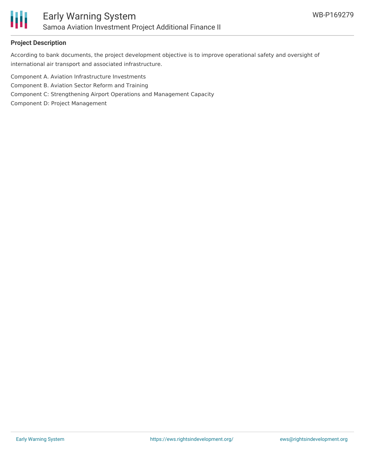

#### **Project Description**

According to bank documents, the project development objective is to improve operational safety and oversight of international air transport and associated infrastructure.

Component A. Aviation Infrastructure Investments

Component B. Aviation Sector Reform and Training

Component C: Strengthening Airport Operations and Management Capacity

Component D: Project Management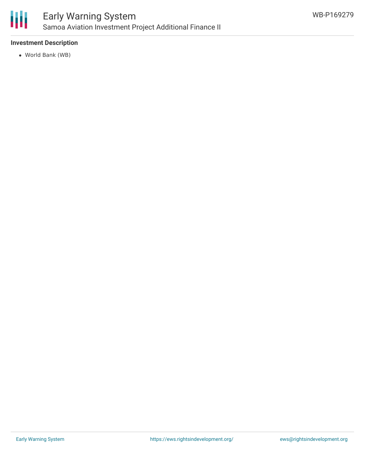

### Early Warning System Samoa Aviation Investment Project Additional Finance II

#### **Investment Description**

World Bank (WB)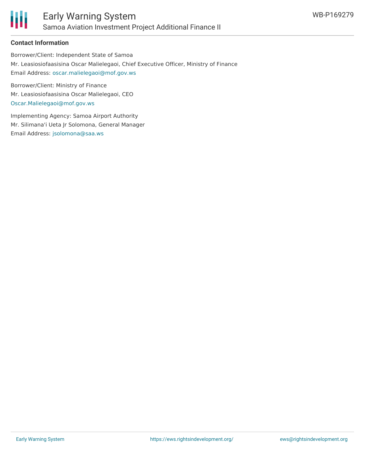

#### **Contact Information**

Borrower/Client: Independent State of Samoa Mr. Leasiosiofaasisina Oscar Malielegaoi, Chief Executive Officer, Ministry of Finance Email Address: [oscar.malielegaoi@mof.gov.ws](mailto:oscar.malielegaoi@mof.gov.ws)

Borrower/Client: Ministry of Finance Mr. Leasiosiofaasisina Oscar Malielegaoi, CEO [Oscar.Malielegaoi@mof.gov.ws](mailto:Oscar.Malielegaoi@mof.gov.ws)

Implementing Agency: Samoa Airport Authority Mr. Silimana'i Ueta Jr Solomona, General Manager Email Address: [jsolomona@saa.ws](mailto:jsolomona@saa.ws)